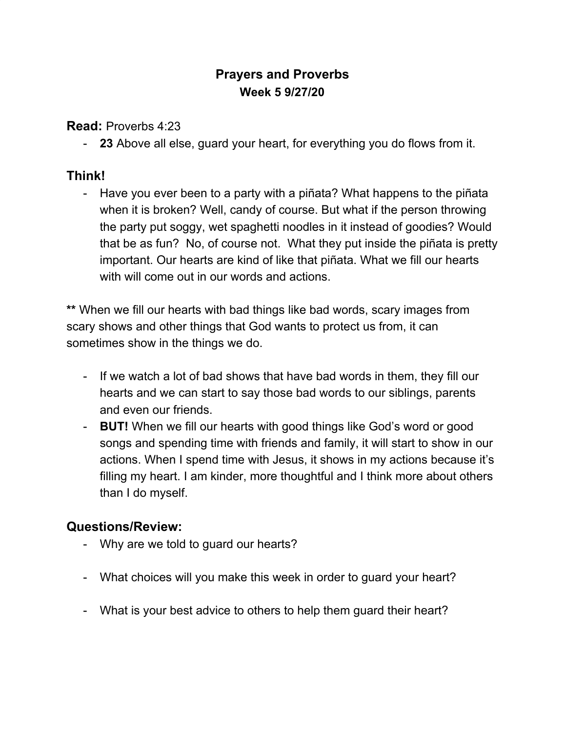## **Prayers and Proverbs Week 5 9/27/20**

**Read:** Proverbs 4:23

- **23** Above all else, guard your heart, for everything you do flows from it.

## **Think!**

- Have you ever been to a party with a piñata? What happens to the piñata when it is broken? Well, candy of course. But what if the person throwing the party put soggy, wet spaghetti noodles in it instead of goodies? Would that be as fun? No, of course not. What they put inside the piñata is pretty important. Our hearts are kind of like that piñata. What we fill our hearts with will come out in our words and actions.

**\*\*** When we fill our hearts with bad things like bad words, scary images from scary shows and other things that God wants to protect us from, it can sometimes show in the things we do.

- If we watch a lot of bad shows that have bad words in them, they fill our hearts and we can start to say those bad words to our siblings, parents and even our friends.
- **BUT!** When we fill our hearts with good things like God's word or good songs and spending time with friends and family, it will start to show in our actions. When I spend time with Jesus, it shows in my actions because it's filling my heart. I am kinder, more thoughtful and I think more about others than I do myself.

## **Questions/Review:**

- Why are we told to guard our hearts?
- What choices will you make this week in order to guard your heart?
- What is your best advice to others to help them guard their heart?